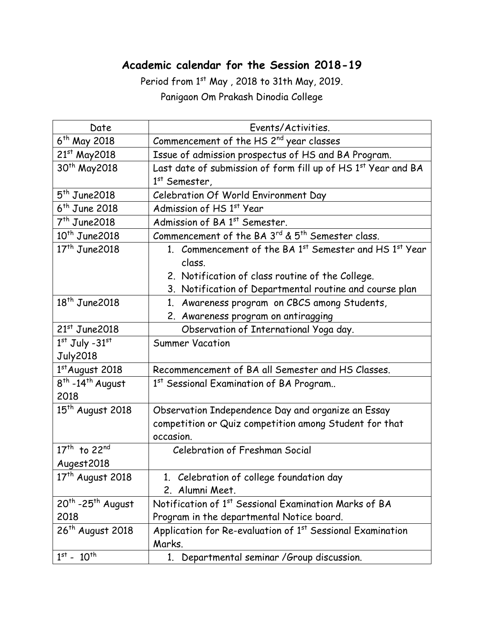## **Academic calendar for the Session 2018-19**

Period from 1st May, 2018 to 31th May, 2019. Panigaon Om Prakash Dinodia College

| Date                                 | Events/Activities.                                                     |
|--------------------------------------|------------------------------------------------------------------------|
| 6 <sup>th</sup> May 2018             | Commencement of the HS 2 <sup>nd</sup> year classes                    |
| $21^{st}$ May 2018                   | Issue of admission prospectus of HS and BA Program.                    |
| 30 <sup>th</sup> May2018             | Last date of submission of form fill up of HS 1st Year and BA          |
|                                      | $1st$ Semester,                                                        |
| $5th$ June 2018                      | Celebration Of World Environment Day                                   |
| $6th$ June 2018                      | Admission of HS 1st Year                                               |
| $7th$ June 2018                      | Admission of BA 1st Semester.                                          |
| $10^{th}$ June 2018                  | Commencement of the BA 3rd & 5 <sup>th</sup> Semester class.           |
| $17th$ June 2018                     | 1. Commencement of the BA 1st Semester and HS 1st Year                 |
|                                      | class.                                                                 |
|                                      | 2. Notification of class routine of the College.                       |
|                                      | 3. Notification of Departmental routine and course plan                |
| $18th$ June 2018                     | 1. Awareness program on CBCS among Students,                           |
|                                      | 2. Awareness program on antiragging                                    |
| $21st$ June 2018                     | Observation of International Yoga day.                                 |
| $1st$ July -31 $st$                  | <b>Summer Vacation</b>                                                 |
| <b>July2018</b>                      |                                                                        |
| $1st$ August 2018                    | Recommencement of BA all Semester and HS Classes.                      |
| $8th$ -14 <sup>th</sup> August       | 1st Sessional Examination of BA Program                                |
| 2018                                 |                                                                        |
| 15 <sup>th</sup> August 2018         | Observation Independence Day and organize an Essay                     |
|                                      | competition or Quiz competition among Student for that                 |
|                                      | occasion.                                                              |
| 17 <sup>th</sup> to 22 <sup>nd</sup> | <b>Celebration of Freshman Social</b>                                  |
| Augest2018                           |                                                                        |
| $17th$ August 2018                   | 1. Celebration of college foundation day                               |
|                                      | 2. Alumni Meet.                                                        |
| $20th$ -25 <sup>th</sup> August      | Notification of 1 <sup>st</sup> Sessional Examination Marks of BA      |
| 2018                                 | Program in the departmental Notice board.                              |
| 26 <sup>th</sup> August 2018         | Application for Re-evaluation of 1 <sup>st</sup> Sessional Examination |
|                                      | Marks.                                                                 |
| $1^{st}$ - $10^{th}$                 | 1. Departmental seminar / Group discussion.                            |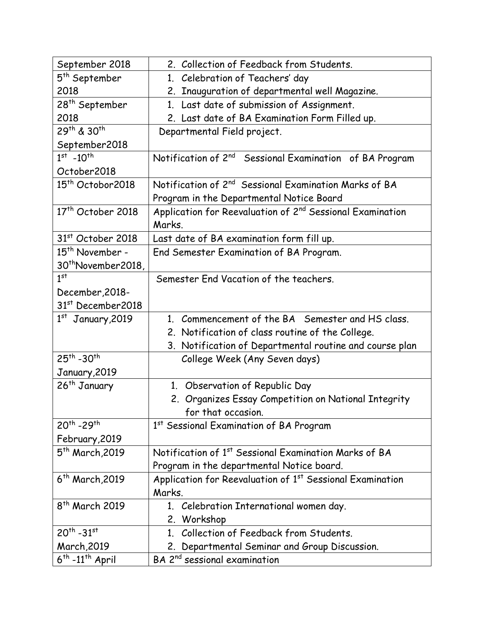| September 2018                     | 2. Collection of Feedback from Students.                              |
|------------------------------------|-----------------------------------------------------------------------|
| 5 <sup>th</sup> September          | 1. Celebration of Teachers' day                                       |
| 2018                               | 2. Inauguration of departmental well Magazine.                        |
| 28 <sup>th</sup> September         | 1. Last date of submission of Assignment.                             |
| 2018                               | 2. Last date of BA Examination Form Filled up.                        |
| 29th & 30th                        | Departmental Field project.                                           |
| September2018                      |                                                                       |
| $1^{st}$ -10 <sup>th</sup>         | Notification of 2 <sup>nd</sup> Sessional Examination of BA Program   |
| October2018                        |                                                                       |
| 15 <sup>th</sup> Octobor2018       | Notification of 2 <sup>nd</sup> Sessional Examination Marks of BA     |
|                                    | Program in the Departmental Notice Board                              |
| 17 <sup>th</sup> October 2018      | Application for Reevaluation of 2 <sup>nd</sup> Sessional Examination |
|                                    | Marks.                                                                |
| 31 <sup>st</sup> October 2018      | Last date of BA examination form fill up.                             |
| 15 <sup>th</sup> November -        | End Semester Examination of BA Program.                               |
| 30 <sup>th</sup> November2018,     |                                                                       |
| 1 <sup>st</sup>                    | Semester End Vacation of the teachers.                                |
| December, 2018-                    |                                                                       |
| 31st December2018                  |                                                                       |
| $1st$ January, 2019                | 1. Commencement of the BA Semester and HS class.                      |
|                                    | 2. Notification of class routine of the College.                      |
|                                    | 3. Notification of Departmental routine and course plan               |
| $25^{th}$ -30 <sup>th</sup>        | College Week (Any Seven days)                                         |
| January, 2019                      |                                                                       |
| 26 <sup>th</sup> January           | 1. Observation of Republic Day                                        |
|                                    | 2. Organizes Essay Competition on National Integrity                  |
|                                    | for that occasion.                                                    |
| 20 <sup>th</sup> -29 <sup>th</sup> | 1st Sessional Examination of BA Program                               |
| February, 2019                     |                                                                       |
| 5 <sup>th</sup> March, 2019        | Notification of 1 <sup>st</sup> Sessional Examination Marks of BA     |
|                                    | Program in the departmental Notice board.                             |
| 6 <sup>th</sup> March, 2019        | Application for Reevaluation of 1 <sup>st</sup> Sessional Examination |
|                                    | Marks.                                                                |
| 8 <sup>th</sup> March 2019         | 1. Celebration International women day.                               |
|                                    | 2. Workshop                                                           |
| $20^{th} - 31^{st}$                |                                                                       |
|                                    | Collection of Feedback from Students.<br>$1_{\cdot}$                  |
| <b>March, 2019</b>                 | 2. Departmental Seminar and Group Discussion.                         |